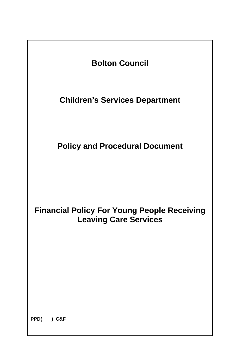

**PPD( ) C&F**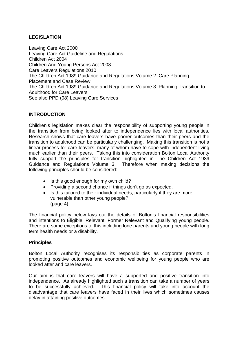# **LEGISLATION**

Leaving Care Act 2000 Leaving Care Act Guideline and Regulations Children Act 2004 Children And Young Persons Act 2008 Care Leavers Regulations 2010 The Children Act 1989 Guidance and Regulations Volume 2: Care Planning , Placement and Case Review The Children Act 1989 Guidance and Regulations Volume 3: Planning Transition to Adulthood for Care Leavers See also PPD (08) Leaving Care Services

# **INTRODUCTION**

Children's legislation makes clear the responsibility of supporting young people in the transition from being looked after to independence lies with local authorities. Research shows that care leavers have poorer outcomes than their peers and the transition to adulthood can be particularly challenging. Making this transition is not a linear process for care leavers, many of whom have to cope with independent living much earlier than their peers. Taking this into consideration Bolton Local Authority fully support the principles for transition highlighted in The Children Act 1989 Guidance and Regulations Volume 3. Therefore when making decisions the following principles should be considered:

- Is this good enough for my own child?
- Providing a second chance if things don't go as expected.
- Is this tailored to their individual needs, particularly if they are more vulnerable than other young people? (page 4)

The financial policy below lays out the details of Bolton's financial responsibilities and intentions to Eligible, Relevant, Former Relevant and Qualifying young people. There are some exceptions to this including lone parents and young people with long term health needs or a disability.

## **Principles**

Bolton Local Authority recognises its responsibilities as corporate parents in promoting positive outcomes and economic wellbeing for young people who are looked after and care leavers.

Our aim is that care leavers will have a supported and positive transition into independence. As already highlighted such a transition can take a number of years to be successfully achieved. This financial policy will take into account the disadvantage that care leavers have faced in their lives which sometimes causes delay in attaining positive outcomes.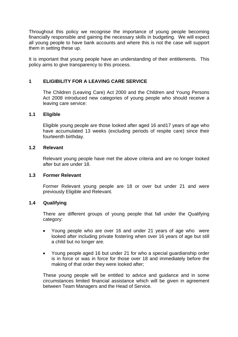Throughout this policy we recognise the importance of young people becoming financially responsible and gaining the necessary skills in budgeting. We will expect all young people to have bank accounts and where this is not the case will support them in setting these up.

It is important that young people have an understanding of their entitlements. This policy aims to give transparency to this process.

# **1 ELIGIBILITY FOR A LEAVING CARE SERVICE**

The Children (Leaving Care) Act 2000 and the Children and Young Persons Act 2008 introduced new categories of young people who should receive a leaving care service:

## **1.1 Eligible**

Eligible young people are those looked after aged 16 and17 years of age who have accumulated 13 weeks (excluding periods of respite care) since their fourteenth birthday.

## **1.2 Relevant**

Relevant young people have met the above criteria and are no longer looked after but are under 18.

## **1.3 Former Relevant**

Former Relevant young people are 18 or over but under 21 and were previously Eligible and Relevant.

## **1.4 Qualifying**

There are different groups of young people that fall under the Qualifying category:

- Young people who are over 16 and under 21 years of age who were looked after including private fostering when over 16 years of age but still a child but no longer are.
- Young people aged 16 but under 21 for who a special guardianship order is in force or was in force for those over 18 and immediately before the making of that order they were looked after;

These young people will be entitled to advice and guidance and in some circumstances limited financial assistance which will be given in agreement between Team Managers and the Head of Service.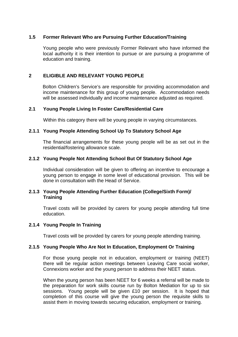## **1.5 Former Relevant Who are Pursuing Further Education/Training**

Young people who were previously Former Relevant who have informed the local authority it is their intention to pursue or are pursuing a programme of education and training.

#### **2 ELIGIBLE AND RELEVANT YOUNG PEOPLE**

Bolton Children's Service's are responsible for providing accommodation and income maintenance for this group of young people. Accommodation needs will be assessed individually and income maintenance adjusted as required.

#### **2.1 Young People Living In Foster Care/Residential Care**

Within this category there will be young people in varying circumstances.

#### **2.1.1 Young People Attending School Up To Statutory School Age**

The financial arrangements for these young people will be as set out in the residential/fostering allowance scale.

## **2.1.2 Young People Not Attending School But Of Statutory School Age**

 Individual consideration will be given to offering an incentive to encourage a young person to engage in some level of educational provision. This will be done in consultation with the Head of Service.

#### **2.1.3 Young People Attending Further Education (College/Sixth Form)/ Training**

 Travel costs will be provided by carers for young people attending full time education.

#### **2.1.4 Young People In Training**

Travel costs will be provided by carers for young people attending training.

#### **2.1.5 Young People Who Are Not In Education, Employment Or Training**

For those young people not in education, employment or training (NEET) there will be regular action meetings between Leaving Care social worker, Connexions worker and the young person to address their NEET status.

When the young person has been NEET for 6 weeks a referral will be made to the preparation for work skills course run by Bolton Mediation for up to six sessions. Young people will be given £10 per session. It is hoped that completion of this course will give the young person the requisite skills to assist them in moving towards securing education, employment or training.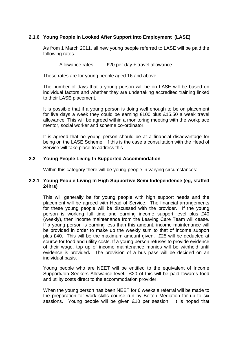# **2.1.6 Young People In Looked After Support into Employment (LASE)**

As from 1 March 2011, all new young people referred to LASE will be paid the following rates.

Allowance rates: £20 per day + travel allowance

These rates are for young people aged 16 and above:

The number of days that a young person will be on LASE will be based on individual factors and whether they are undertaking accredited training linked to their LASE placement.

It is possible that if a young person is doing well enough to be on placement for five days a week they could be earning £100 plus £15.50 a week travel allowance. This will be agreed within a monitoring meeting with the workplace mentor, social worker and scheme co-ordinator.

It is agreed that no young person should be at a financial disadvantage for being on the LASE Scheme. If this is the case a consultation with the Head of Service will take place to address this

## **2.2 Young People Living In Supported Accommodation**

Within this category there will be young people in varying circumstances:

## **2.2.1 Young People Living In High Supportive Semi-Independence (eg, staffed 24hrs)**

 This will generally be for young people with high support needs and the placement will be agreed with Head of Service. The financial arrangements for these young people will be discussed with the provider. If the young person is working full time and earning income support level plus £40 (weekly), then income maintenance from the Leaving Care Team will cease. If a young person is earning less than this amount, income maintenance will be provided in order to make up the weekly sum to that of income support plus £40. This will be the maximum amount given. £25 will be deducted at source for food and utility costs. If a young person refuses to provide evidence of their wage, top up of income maintenance monies will be withheld until evidence is provided**.** The provision of a bus pass will be decided on an individual basis.

 Young people who are NEET will be entitled to the equivalent of Income Support/Job Seekers Allowance level. £20 of this will be paid towards food and utility costs direct to the accommodation provider.

When the young person has been NEET for 6 weeks a referral will be made to the preparation for work skills course run by Bolton Mediation for up to six sessions. Young people will be given £10 per session. It is hoped that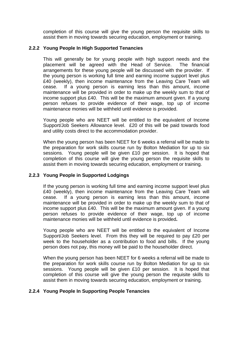completion of this course will give the young person the requisite skills to assist them in moving towards securing education, employment or training.

## **2.2.2 Young People In High Supported Tenancies**

 This will generally be for young people with high support needs and the placement will be agreed with the Head of Service. The financial arrangements for these young people will be discussed with the provider. If the young person is working full time and earning income support level plus £40 (weekly), then income maintenance from the Leaving Care Team will cease. If a young person is earning less than this amount, income maintenance will be provided in order to make up the weekly sum to that of income support plus £40. This will be the maximum amount given. If a young person refuses to provide evidence of their wage, top up of income maintenance monies will be withheld until evidence is provided.

Young people who are NEET will be entitled to the equivalent of Income Support/Job Seekers Allowance level. £20 of this will be paid towards food and utility costs direct to the accommodation provider.

When the young person has been NEET for 6 weeks a referral will be made to the preparation for work skills course run by Bolton Mediation for up to six sessions. Young people will be given £10 per session. It is hoped that completion of this course will give the young person the requisite skills to assist them in moving towards securing education, employment or training.

# **2.2.3 Young People in Supported Lodgings**

If the young person is working full time and earning income support level plus £40 (weekly), then income maintenance from the Leaving Care Team will cease. If a young person is earning less than this amount, income maintenance will be provided in order to make up the weekly sum to that of income support plus £40. This will be the maximum amount given. If a young person refuses to provide evidence of their wage, top up of income maintenance monies will be withheld until evidence is provided**.** 

Young people who are NEET will be entitled to the equivalent of Income Support/Job Seekers level. From this they will be required to pay £20 per week to the householder as a contribution to food and bills. If the young person does not pay, this money will be paid to the householder direct.

When the young person has been NEET for 6 weeks a referral will be made to the preparation for work skills course run by Bolton Mediation for up to six sessions. Young people will be given £10 per session. It is hoped that completion of this course will give the young person the requisite skills to assist them in moving towards securing education, employment or training.

# **2.2.4 Young People In Supporting People Tenancies**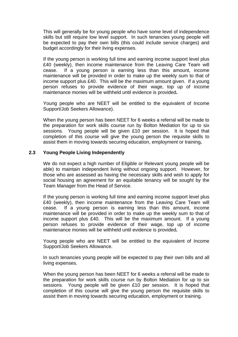This will generally be for young people who have some level of independence skills but still require low level support. In such tenancies young people will be expected to pay their own bills (this could include service charges) and budget accordingly for their living expenses.

If the young person is working full time and earning income support level plus £40 (weekly), then income maintenance from the Leaving Care Team will cease. If a young person is earning less than this amount, income maintenance will be provided in order to make up the weekly sum to that of income support plus £40. This will be the maximum amount given. If a young person refuses to provide evidence of their wage, top up of income maintenance monies will be withheld until evidence is provided**.** 

Young people who are NEET will be entitled to the equivalent of Income Support/Job Seekers Allowance).

When the young person has been NEET for 6 weeks a referral will be made to the preparation for work skills course run by Bolton Mediation for up to six sessions. Young people will be given £10 per session. It is hoped that completion of this course will give the young person the requisite skills to assist them in moving towards securing education, employment or training**.**

## **2.3 Young People Living Independently**

 We do not expect a high number of Eligible or Relevant young people will be able) to maintain independent living without ongoing support. However, for those who are assessed as having the necessary skills and wish to apply for social housing an agreement for an equitable tenancy will be sought by the Team Manager from the Head of Service.

 If the young person is working full time and earning income support level plus £40 (weekly), then income maintenance from the Leaving Care Team will cease. If a young person is earning less than this amount, income maintenance will be provided in order to make up the weekly sum to that of income support plus £40. This will be the maximum amount. If a young person refuses to provide evidence of their wage, top up of income maintenance monies will be withheld until evidence is provided**.** 

Young people who are NEET will be entitled to the equivalent of Income Support/Job Seekers Allowance.

 In such tenancies young people will be expected to pay their own bills and all living expenses.

When the young person has been NEET for 6 weeks a referral will be made to the preparation for work skills course run by Bolton Mediation for up to six sessions. Young people will be given £10 per session. It is hoped that completion of this course will give the young person the requisite skills to assist them in moving towards securing education, employment or training.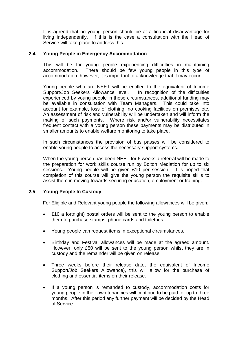It is agreed that no young person should be at a financial disadvantage for living independently. If this is the case a consultation with the Head of Service will take place to address this.

## **2.4 Young People in Emergency Accommodation**

 This will be for young people experiencing difficulties in maintaining accommodation. There should be few young people in this type of accommodation; however, it is important to acknowledge that it may occur.

 Young people who are NEET will be entitled to the equivalent of Income Support/Job Seekers Allowance level. In recognition of the difficulties experienced by young people in these circumstances, additional funding may be available in consultation with Team Managers. This could take into account for example, loss of clothing, no cooking facilities on premises etc. An assessment of risk and vulnerability will be undertaken and will inform the making of such payments. Where risk and/or vulnerability necessitates frequent contact with a young person these payments may be distributed in smaller amounts to enable welfare monitoring to take place.

 In such circumstances the provision of bus passes will be considered to enable young people to access the necessary support systems.

When the young person has been NEET for 6 weeks a referral will be made to the preparation for work skills course run by Bolton Mediation for up to six sessions. Young people will be given £10 per session. It is hoped that completion of this course will give the young person the requisite skills to assist them in moving towards securing education, employment or training.

## **2.5 Young People In Custody**

For Eligible and Relevant young people the following allowances will be given:

- £10 a fortnight) postal orders will be sent to the young person to enable them to purchase stamps, phone cards and toiletries.
- Young people can request items in exceptional circumstances**.**
- Birthday and Festival allowances will be made at the agreed amount. However, only £50 will be sent to the young person whilst they are in custody and the remainder will be given on release.
- Three weeks before their release date, the equivalent of Income Support/Job Seekers Allowance), this will allow for the purchase of clothing and essential items on their release.
- If a young person is remanded to custody, accommodation costs for young people in their own tenancies will continue to be paid for up to three months. After this period any further payment will be decided by the Head of Service.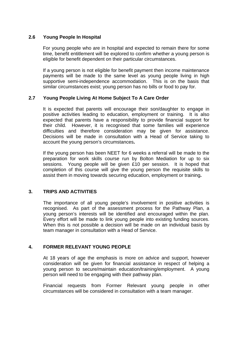## **2.6 Young People In Hospital**

For young people who are in hospital and expected to remain there for some time, benefit entitlement will be explored to confirm whether a young person is eligible for benefit dependent on their particular circumstances.

If a young person is not eligible for benefit payment then income maintenance payments will be made to the same level as young people living in high supportive semi-independence accommodation. This is on the basis that similar circumstances exist; young person has no bills or food to pay for.

# **2.7 Young People Living At Home Subject To A Care Order**

It is expected that parents will encourage their son/daughter to engage in positive activities leading to education, employment or training. It is also expected that parents have a responsibility to provide financial support for their child. However, it is recognised that some families will experience difficulties and therefore consideration may be given for assistance. Decisions will be made in consultation with a Head of Service taking to account the young person's circumstances**.** 

If the young person has been NEET for 6 weeks a referral will be made to the preparation for work skills course run by Bolton Mediation for up to six sessions. Young people will be given £10 per session. It is hoped that completion of this course will give the young person the requisite skills to assist them in moving towards securing education, employment or training**.**

# **3. TRIPS AND ACTIVITIES**

 The importance of all young people's involvement in positive activities is recognised. As part of the assessment process for the Pathway Plan, a young person's interests will be identified and encouraged within the plan. Every effort will be made to link young people into existing funding sources. When this is not possible a decision will be made on an individual basis by team manager in consultation with a Head of Service.

# **4. FORMER RELEVANT YOUNG PEOPLE**

At 18 years of age the emphasis is more on advice and support, however consideration will be given for financial assistance in respect of helping a young person to secure/maintain education/training/employment. A young person will need to be engaging with their pathway plan.

Financial requests from Former Relevant young people in other circumstances will be considered in consultation with a team manager.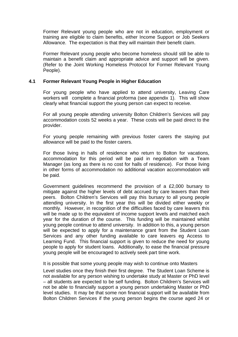Former Relevant young people who are not in education, employment or training are eligible to claim benefits, either Income Support or Job Seekers Allowance. The expectation is that they will maintain their benefit claim.

Former Relevant young people who become homeless should still be able to maintain a benefit claim and appropriate advice and support will be given. (Refer to the Joint Working Homeless Protocol for Former Relevant Young People).

## **4.1 Former Relevant Young People in Higher Education**

For young people who have applied to attend university, Leaving Care workers will complete a financial proforma (see appendix 1). This will show clearly what financial support the young person can expect to receive.

For all young people attending university Bolton Children's Services will pay accommodation costs 52 weeks a year. These costs will be paid direct to the provider.

For young people remaining with previous foster carers the staying put allowance will be paid to the foster carers.

For those living in halls of residence who return to Bolton for vacations, accommodation for this period will be paid in negotiation with a Team Manager (as long as there is no cost for halls of residence). For those living in other forms of accommodation no additional vacation accommodation will be paid.

Government guidelines recommend the provision of a £2,000 bursary to mitigate against the higher levels of debt accrued by care leavers than their peers. Bolton Children's Services will pay this bursary to all young people attending university. In the first year this will be divided either weekly or monthly. However, in recognition of the difficulties faced by care leavers this will be made up to the equivalent of income support levels and matched each year for the duration of the course. This funding will be maintained whilst young people continue to attend university. In addition to this, a young person will be expected to apply for a maintenance grant from the Student Loan Services and any other funding available to care leavers eg Access to Learning Fund. This financial support is given to reduce the need for young people to apply for student loans. Additionally, to ease the financial pressure young people will be encouraged to actively seek part time work.

It is possible that some young people may wish to continue onto Masters

Level studies once they finish their first degree. The Student Loan Scheme is not available for any person wishing to undertake study at Master or PhD level – all students are expected to be self funding. Bolton Children's Services will not be able to financially support a young person undertaking Master or PhD level studies. It may be that some non financial support will be available from Bolton Children Services if the young person begins the course aged 24 or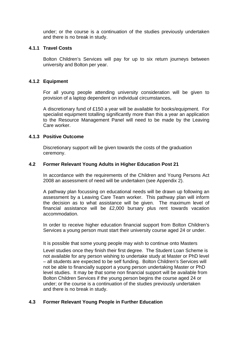under; or the course is a continuation of the studies previously undertaken and there is no break in study.

## **4.1.1 Travel Costs**

Bolton Children's Services will pay for up to six return journeys between university and Bolton per year.

## **4.1.2 Equipment**

For all young people attending university consideration will be given to provision of a laptop dependent on individual circumstances**.**

A discretionary fund of £150 a year will be available for books/equipment. For specialist equipment totalling significantly more than this a year an application to the Resource Management Panel will need to be made by the Leaving Care worker.

## **4.1.3 Positive Outcome**

Discretionary support will be given towards the costs of the graduation ceremony.

## **4.2 Former Relevant Young Adults in Higher Education Post 21**

In accordance with the requirements of the Children and Young Persons Act 2008 an assessment of need will be undertaken (see Appendix 2).

A pathway plan focussing on educational needs will be drawn up following an assessment by a Leaving Care Team worker. This pathway plan will inform the decision as to what assistance will be given. The maximum level of financial assistance will be £2,000 bursary plus rent towards vacation accommodation.

In order to receive higher education financial support from Bolton Children's Services a young person must start their university course aged 24 or under.

It is possible that some young people may wish to continue onto Masters Level studies once they finish their first degree. The Student Loan Scheme is not available for any person wishing to undertake study at Master or PhD level – all students are expected to be self funding. Bolton Children's Services will not be able to financially support a young person undertaking Master or PhD level studies. It may be that some non financial support will be available from Bolton Children Services if the young person begins the course aged 24 or under; or the course is a continuation of the studies previously undertaken and there is no break in study.

## **4.3 Former Relevant Young People in Further Education**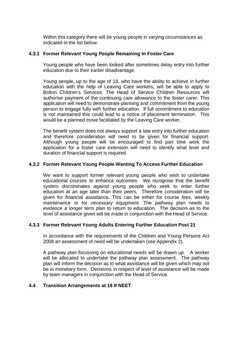Within this category there will be young people in varying circumstances as indicated in the list below:

## **4.3.1 Former Relevant Young People Remaining In Foster Care**

 Young people who have been looked after sometimes delay entry into further education due to their earlier disadvantage.

 Young people, up to the age of 18, who have the ability to achieve in further education with the help of Leaving Care workers, will be able to apply to Bolton Children's Services. The Head of Service Children Resources will authorise payment of the continuing care allowance to the foster carer. This application will need to demonstrate planning and commitment from the young person to engage fully with further education. If full commitment to education is not maintained this could lead to a notice of placement termination. This would be a planned move facilitated by the Leaving Care worker.

 The benefit system does not always support a late entry into further education and therefore consideration will need to be given for financial support. Although young people will be encouraged to find part time work the application for a foster care extension will need to identify what level and duration of financial support is required.

## **4.3.2 Former Relevant Young People Wanting To Access Further Education**

 We want to support former relevant young people who wish to undertake educational courses to enhance outcomes. We recognise that the benefit system discriminates against young people who seek to enter further education at an age later than their peers. Therefore consideration will be given for financial assistance**.** This can be either for course fees, weekly maintenance or for necessary equipment. The pathway plan needs to evidence a longer term plan to return to education. The decision as to the level of assistance given will be made in conjunction with the Head of Service.

## **4.3.3 Former Relevant Young Adults Entering Further Education Post 21**

In accordance with the requirements of the Children and Young Persons Act 2008 an assessment of need will be undertaken (see Appendix 2).

A pathway plan focussing on educational needs will be drawn up. A worker will be allocated to undertake the pathway plan assessment. The pathway plan will inform the decision as to what assistance will be given which may not be in monetary form. Decisions in respect of level of assistance will be made by team managers in conjunction with the Head of Service.

## **4.4 Transition Arrangements at 18 If NEET**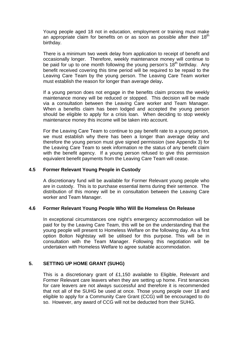Young people aged 18 not in education, employment or training must make an appropriate claim for benefits on or as soon as possible after their  $18<sup>th</sup>$ birthday.

There is a minimum two week delay from application to receipt of benefit and occasionally longer. Therefore, weekly maintenance money will continue to be paid for up to one month following the young person's  $18<sup>th</sup>$  birthday. Any benefit received covering this time period will be required to be repaid to the Leaving Care Team by the young person. The Leaving Care Team worker must establish the reason for longer than average delay**.** 

If a young person does not engage in the benefits claim process the weekly maintenance money will be reduced or stopped. This decision will be made via a consultation between the Leaving Care worker and Team Manager. When a benefits claim has been lodged and accepted the young person should be eligible to apply for a crisis loan. When deciding to stop weekly maintenance money this income will be taken into account.

For the Leaving Care Team to continue to pay benefit rate to a young person, we must establish why there has been a longer than average delay and therefore the young person must give signed permission (see Appendix 3) for the Leaving Care Team to seek information re the status of any benefit claim with the benefit agency. If a young person refused to give this permission equivalent benefit payments from the Leaving Care Team will cease.

## **4.5 Former Relevant Young People in Custody**

A discretionary fund will be available for Former Relevant young people who are in custody. This is to purchase essential items during their sentence. The distribution of this money will be in consultation between the Leaving Care worker and Team Manager.

## **4.6 Former Relevant Young People Who Will Be Homeless On Release**

In exceptional circumstances one night's emergency accommodation will be paid for by the Leaving Care Team, this will be on the understanding that the young people will present to Homeless Welfare on the following day. As a first option Bolton Nightstay will be utilised for this purpose. This will be in consultation with the Team Manager. Following this negotiation will be undertaken with Homeless Welfare to agree suitable accommodation.

## **5. SETTING UP HOME GRANT (SUHG)**

This is a discretionary grant of £1,150 available to Eligible, Relevant and Former Relevant care leavers when they are setting up home. First tenancies for care leavers are not always successful and therefore it is recommended that not all of the SUHG be used at once. Those young people over 18 and eligible to apply for a Community Care Grant (CCG) will be encouraged to do so. However, any award of CCG will not be deducted from their SUHG.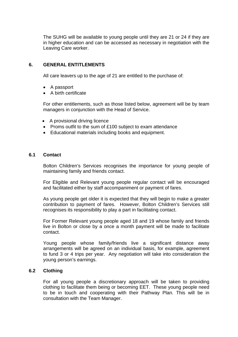The SUHG will be available to young people until they are 21 or 24 if they are in higher education and can be accessed as necessary in negotiation with the Leaving Care worker.

## **6. GENERAL ENTITLEMENTS**

All care leavers up to the age of 21 are entitled to the purchase of:

- A passport
- A birth certificate

For other entitlements, such as those listed below, agreement will be by team managers in conjunction with the Head of Service.

- A provisional driving licence
- Proms outfit to the sum of £100 subject to exam attendance
- Educational materials including books and equipment.

#### **6.1 Contact**

Bolton Children's Services recognises the importance for young people of maintaining family and friends contact.

For Eligible and Relevant young people regular contact will be encouraged and facilitated either by staff accompaniment or payment of fares.

As young people get older it is expected that they will begin to make a greater contribution to payment of fares. However, Bolton Children's Services still recognises its responsibility to play a part in facilitating contact.

For Former Relevant young people aged 18 and 19 whose family and friends live in Bolton or close by a once a month payment will be made to facilitate contact.

Young people whose family/friends live a significant distance away arrangements will be agreed on an individual basis, for example, agreement to fund 3 or 4 trips per year. Any negotiation will take into consideration the young person's earnings.

## **6.2 Clothing**

For all young people a discretionary approach will be taken to providing clothing to facilitate them being or becoming EET. These young people need to be in touch and cooperating with their Pathway Plan. This will be in consultation with the Team Manager.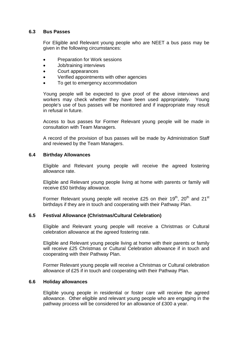#### **6.3 Bus Passes**

For Eligible and Relevant young people who are NEET a bus pass may be given in the following circumstances:

- Preparation for Work sessions
- Job/training interviews
- Court appearances
- Verified appointments with other agencies
- To get to emergency accommodation

Young people will be expected to give proof of the above interviews and workers may check whether they have been used appropriately. Young people's use of bus passes will be monitored and if inappropriate may result in refusal in future.

Access to bus passes for Former Relevant young people will be made in consultation with Team Managers.

A record of the provision of bus passes will be made by Administration Staff and reviewed by the Team Managers.

#### **6.4 Birthday Allowances**

Eligible and Relevant young people will receive the agreed fostering allowance rate.

Eligible and Relevant young people living at home with parents or family will receive £50 birthday allowance.

Former Relevant young people will receive £25 on their  $19^{th}$ ,  $20^{th}$  and  $21^{st}$ birthdays if they are in touch and cooperating with their Pathway Plan.

## **6.5 Festival Allowance (Christmas/Cultural Celebration)**

Eligible and Relevant young people will receive a Christmas or Cultural celebration allowance at the agreed fostering rate.

Eligible and Relevant young people living at home with their parents or family will receive £25 Christmas or Cultural Celebration allowance if in touch and cooperating with their Pathway Plan.

Former Relevant young people will receive a Christmas or Cultural celebration allowance of £25 if in touch and cooperating with their Pathway Plan.

#### **6.6 Holiday allowances**

Eligible young people in residential or foster care will receive the agreed allowance. Other eligible and relevant young people who are engaging in the pathway process will be considered for an allowance of £300 a year.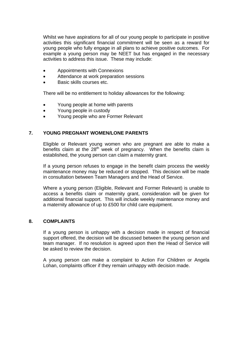Whilst we have aspirations for all of our young people to participate in positive activities this significant financial commitment will be seen as a reward for young people who fully engage in all plans to achieve positive outcomes. For example a young person may be NEET but has engaged in the necessary activities to address this issue. These may include:

- Appointments with Connexions
- Attendance at work preparation sessions
- Basic skills courses etc.

There will be no entitlement to holiday allowances for the following:

- Young people at home with parents
- Young people in custody
- Young people who are Former Relevant

#### **7. YOUNG PREGNANT WOMEN/LONE PARENTS**

Eligible or Relevant young women who are pregnant are able to make a benefits claim at the  $28<sup>th</sup>$  week of pregnancy. When the benefits claim is established, the young person can claim a maternity grant.

If a young person refuses to engage in the benefit claim process the weekly maintenance money may be reduced or stopped. This decision will be made in consultation between Team Managers and the Head of Service.

Where a young person (Eligible, Relevant and Former Relevant) is unable to access a benefits claim or maternity grant, consideration will be given for additional financial support. This will include weekly maintenance money and a maternity allowance of up to £500 for child care equipment.

#### **8. COMPLAINTS**

If a young person is unhappy with a decision made in respect of financial support offered, the decision will be discussed between the young person and team manager. If no resolution is agreed upon then the Head of Service will be asked to review the decision.

A young person can make a complaint to Action For Children or Angela Lohan, complaints officer if they remain unhappy with decision made.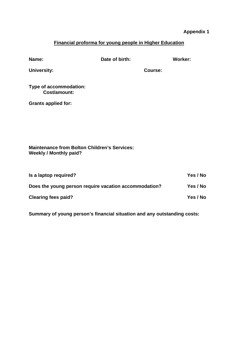# **Appendix 1**

# **Financial proforma for young people in Higher Education**

| Name:                                                                                | Date of birth: |         | <b>Worker:</b> |
|--------------------------------------------------------------------------------------|----------------|---------|----------------|
| <b>University:</b>                                                                   |                | Course: |                |
| Type of accommodation:<br><b>Cost/amount:</b>                                        |                |         |                |
| <b>Grants applied for:</b>                                                           |                |         |                |
|                                                                                      |                |         |                |
|                                                                                      |                |         |                |
|                                                                                      |                |         |                |
| <b>Maintenance from Bolton Children's Services:</b><br><b>Weekly / Monthly paid?</b> |                |         |                |
|                                                                                      |                |         |                |
| Is a laptop required?                                                                |                |         | Yes / No       |
| Does the young person require vacation accommodation?                                |                |         | Yes / No       |
| <b>Clearing fees paid?</b>                                                           |                |         | Yes / No       |

**Summary of young person's financial situation and any outstanding costs:**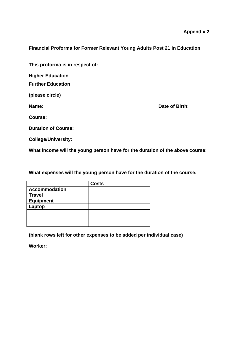**Financial Proforma for Former Relevant Young Adults Post 21 In Education** 

**This proforma is in respect of:** 

**Higher Education** 

**Further Education** 

**(please circle)** 

**Name: Date of Birth: Date of Birth:** 

**Course:** 

**Duration of Course:** 

**College/University:** 

**What income will the young person have for the duration of the above course:** 

**What expenses will the young person have for the duration of the course:** 

|                      | <b>Costs</b> |
|----------------------|--------------|
| <b>Accommodation</b> |              |
| <b>Travel</b>        |              |
| <b>Equipment</b>     |              |
| Laptop               |              |
|                      |              |
|                      |              |
|                      |              |

**(blank rows left for other expenses to be added per individual case)** 

**Worker:**